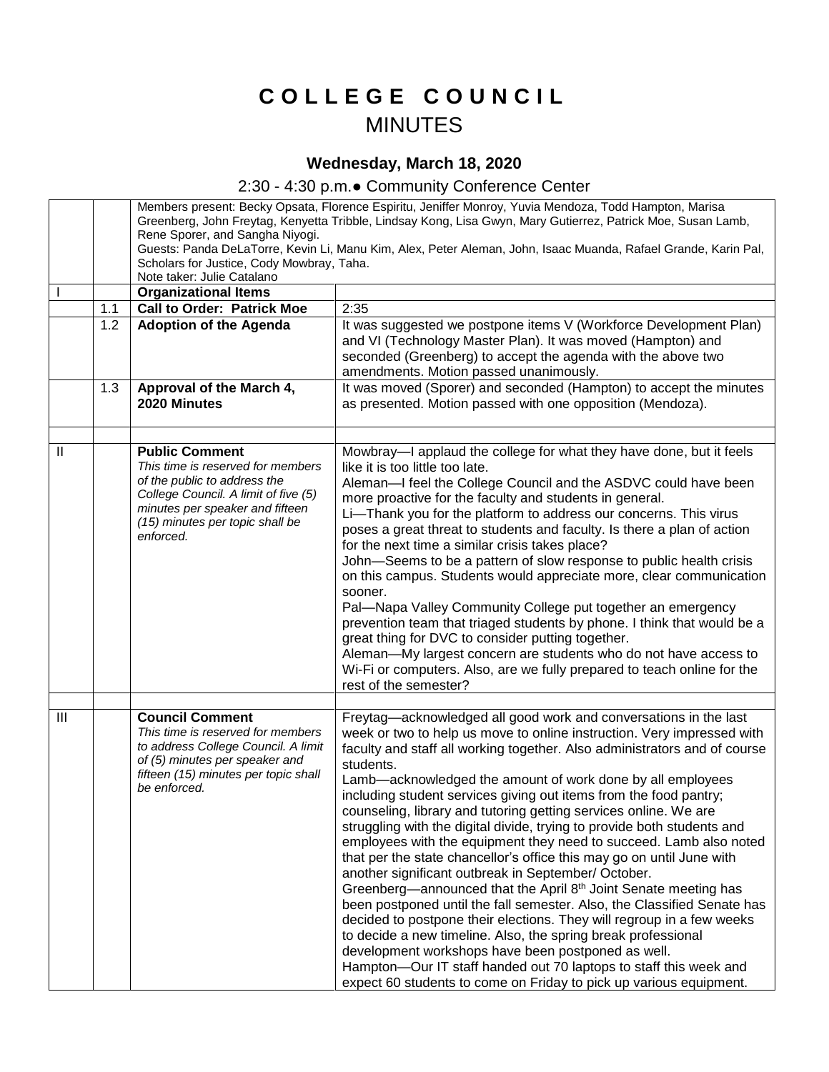## **C O L L E G E C O U N C I L** MINUTES

## **Wednesday, March 18, 2020**

## 2:30 - 4:30 p.m.● Community Conference Center

|               |     | Members present: Becky Opsata, Florence Espiritu, Jeniffer Monroy, Yuvia Mendoza, Todd Hampton, Marisa<br>Greenberg, John Freytag, Kenyetta Tribble, Lindsay Kong, Lisa Gwyn, Mary Gutierrez, Patrick Moe, Susan Lamb, |                                                                                                                |
|---------------|-----|------------------------------------------------------------------------------------------------------------------------------------------------------------------------------------------------------------------------|----------------------------------------------------------------------------------------------------------------|
|               |     |                                                                                                                                                                                                                        |                                                                                                                |
|               |     | Rene Sporer, and Sangha Niyogi.                                                                                                                                                                                        |                                                                                                                |
|               |     |                                                                                                                                                                                                                        | Guests: Panda DeLaTorre, Kevin Li, Manu Kim, Alex, Peter Aleman, John, Isaac Muanda, Rafael Grande, Karin Pal, |
|               |     | Scholars for Justice, Cody Mowbray, Taha.<br>Note taker: Julie Catalano                                                                                                                                                |                                                                                                                |
|               |     | <b>Organizational Items</b>                                                                                                                                                                                            |                                                                                                                |
|               | 1.1 | <b>Call to Order: Patrick Moe</b>                                                                                                                                                                                      | 2:35                                                                                                           |
|               |     |                                                                                                                                                                                                                        |                                                                                                                |
|               | 1.2 | <b>Adoption of the Agenda</b>                                                                                                                                                                                          | It was suggested we postpone items V (Workforce Development Plan)                                              |
|               |     |                                                                                                                                                                                                                        | and VI (Technology Master Plan). It was moved (Hampton) and                                                    |
|               |     |                                                                                                                                                                                                                        | seconded (Greenberg) to accept the agenda with the above two                                                   |
|               |     |                                                                                                                                                                                                                        | amendments. Motion passed unanimously.                                                                         |
|               | 1.3 | Approval of the March 4,                                                                                                                                                                                               | It was moved (Sporer) and seconded (Hampton) to accept the minutes                                             |
|               |     | 2020 Minutes                                                                                                                                                                                                           | as presented. Motion passed with one opposition (Mendoza).                                                     |
|               |     |                                                                                                                                                                                                                        |                                                                                                                |
| $\mathbf{  }$ |     |                                                                                                                                                                                                                        |                                                                                                                |
|               |     | <b>Public Comment</b><br>This time is reserved for members                                                                                                                                                             | Mowbray-I applaud the college for what they have done, but it feels<br>like it is too little too late.         |
|               |     | of the public to address the                                                                                                                                                                                           |                                                                                                                |
|               |     | College Council. A limit of five (5)                                                                                                                                                                                   | Aleman-I feel the College Council and the ASDVC could have been                                                |
|               |     | minutes per speaker and fifteen                                                                                                                                                                                        | more proactive for the faculty and students in general.                                                        |
|               |     | (15) minutes per topic shall be                                                                                                                                                                                        | Li-Thank you for the platform to address our concerns. This virus                                              |
|               |     | enforced.                                                                                                                                                                                                              | poses a great threat to students and faculty. Is there a plan of action                                        |
|               |     |                                                                                                                                                                                                                        | for the next time a similar crisis takes place?                                                                |
|               |     |                                                                                                                                                                                                                        | John-Seems to be a pattern of slow response to public health crisis                                            |
|               |     |                                                                                                                                                                                                                        | on this campus. Students would appreciate more, clear communication                                            |
|               |     |                                                                                                                                                                                                                        | sooner.                                                                                                        |
|               |     |                                                                                                                                                                                                                        | Pal-Napa Valley Community College put together an emergency                                                    |
|               |     |                                                                                                                                                                                                                        | prevention team that triaged students by phone. I think that would be a                                        |
|               |     |                                                                                                                                                                                                                        | great thing for DVC to consider putting together.                                                              |
|               |     |                                                                                                                                                                                                                        | Aleman-My largest concern are students who do not have access to                                               |
|               |     |                                                                                                                                                                                                                        | Wi-Fi or computers. Also, are we fully prepared to teach online for the                                        |
|               |     |                                                                                                                                                                                                                        | rest of the semester?                                                                                          |
|               |     |                                                                                                                                                                                                                        |                                                                                                                |
| III           |     | <b>Council Comment</b>                                                                                                                                                                                                 | Freytag-acknowledged all good work and conversations in the last                                               |
|               |     | This time is reserved for members<br>to address College Council. A limit                                                                                                                                               | week or two to help us move to online instruction. Very impressed with                                         |
|               |     | of (5) minutes per speaker and                                                                                                                                                                                         | faculty and staff all working together. Also administrators and of course                                      |
|               |     | fifteen (15) minutes per topic shall                                                                                                                                                                                   | students.                                                                                                      |
|               |     | be enforced.                                                                                                                                                                                                           | Lamb-acknowledged the amount of work done by all employees                                                     |
|               |     |                                                                                                                                                                                                                        | including student services giving out items from the food pantry;                                              |
|               |     |                                                                                                                                                                                                                        | counseling, library and tutoring getting services online. We are                                               |
|               |     |                                                                                                                                                                                                                        | struggling with the digital divide, trying to provide both students and                                        |
|               |     |                                                                                                                                                                                                                        | employees with the equipment they need to succeed. Lamb also noted                                             |
|               |     |                                                                                                                                                                                                                        | that per the state chancellor's office this may go on until June with                                          |
|               |     |                                                                                                                                                                                                                        | another significant outbreak in September/ October.                                                            |
|               |     |                                                                                                                                                                                                                        | Greenberg—announced that the April 8 <sup>th</sup> Joint Senate meeting has                                    |
|               |     |                                                                                                                                                                                                                        | been postponed until the fall semester. Also, the Classified Senate has                                        |
|               |     |                                                                                                                                                                                                                        | decided to postpone their elections. They will regroup in a few weeks                                          |
|               |     |                                                                                                                                                                                                                        | to decide a new timeline. Also, the spring break professional                                                  |
|               |     |                                                                                                                                                                                                                        | development workshops have been postponed as well.                                                             |
|               |     |                                                                                                                                                                                                                        | Hampton-Our IT staff handed out 70 laptops to staff this week and                                              |
|               |     |                                                                                                                                                                                                                        | expect 60 students to come on Friday to pick up various equipment.                                             |